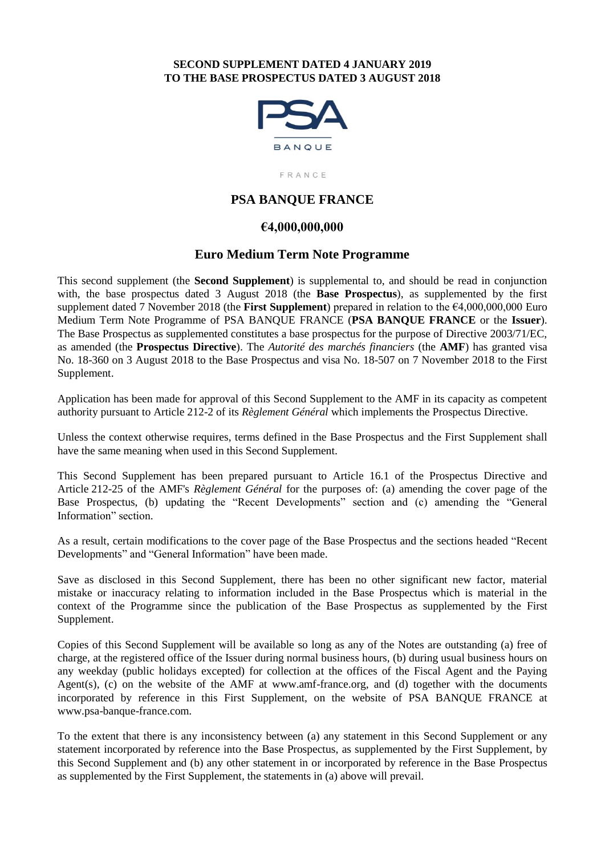#### **SECOND SUPPLEMENT DATED 4 JANUARY 2019 TO THE BASE PROSPECTUS DATED 3 AUGUST 2018**



FRANCE

## **PSA BANQUE FRANCE**

### **€4,000,000,000**

#### **Euro Medium Term Note Programme**

This second supplement (the **Second Supplement**) is supplemental to, and should be read in conjunction with, the base prospectus dated 3 August 2018 (the **Base Prospectus**), as supplemented by the first supplement dated 7 November 2018 (the **First Supplement**) prepared in relation to the €4,000,000,000 Euro Medium Term Note Programme of PSA BANQUE FRANCE (**PSA BANQUE FRANCE** or the **Issuer**). The Base Prospectus as supplemented constitutes a base prospectus for the purpose of Directive 2003/71/EC, as amended (the **Prospectus Directive**). The *Autorité des marchés financiers* (the **AMF**) has granted visa No. 18-360 on 3 August 2018 to the Base Prospectus and visa No. 18-507 on 7 November 2018 to the First Supplement.

Application has been made for approval of this Second Supplement to the AMF in its capacity as competent authority pursuant to Article 212-2 of its *Règlement Général* which implements the Prospectus Directive.

Unless the context otherwise requires, terms defined in the Base Prospectus and the First Supplement shall have the same meaning when used in this Second Supplement.

This Second Supplement has been prepared pursuant to Article 16.1 of the Prospectus Directive and Article 212-25 of the AMF's *Règlement Général* for the purposes of: (a) amending the cover page of the Base Prospectus, (b) updating the "Recent Developments" section and (c) amending the "General Information" section.

As a result, certain modifications to the cover page of the Base Prospectus and the sections headed "Recent Developments" and "General Information" have been made.

Save as disclosed in this Second Supplement, there has been no other significant new factor, material mistake or inaccuracy relating to information included in the Base Prospectus which is material in the context of the Programme since the publication of the Base Prospectus as supplemented by the First Supplement.

Copies of this Second Supplement will be available so long as any of the Notes are outstanding (a) free of charge, at the registered office of the Issuer during normal business hours, (b) during usual business hours on any weekday (public holidays excepted) for collection at the offices of the Fiscal Agent and the Paying Agent(s), (c) on the website of the AMF at www.amf-france.org, and (d) together with the documents incorporated by reference in this First Supplement, on the website of PSA BANQUE FRANCE at www.psa-banque-france.com.

To the extent that there is any inconsistency between (a) any statement in this Second Supplement or any statement incorporated by reference into the Base Prospectus, as supplemented by the First Supplement, by this Second Supplement and (b) any other statement in or incorporated by reference in the Base Prospectus as supplemented by the First Supplement, the statements in (a) above will prevail.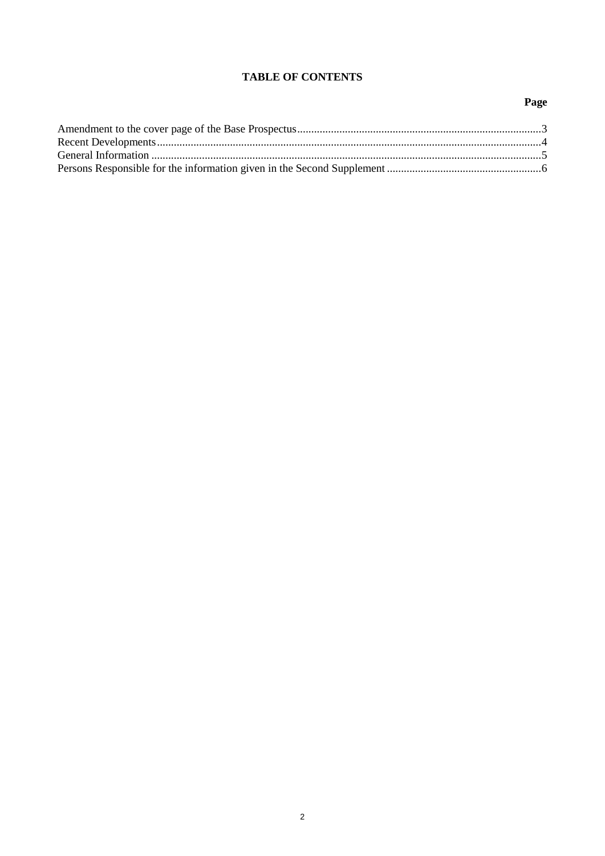## **TABLE OF CONTENTS**

# Page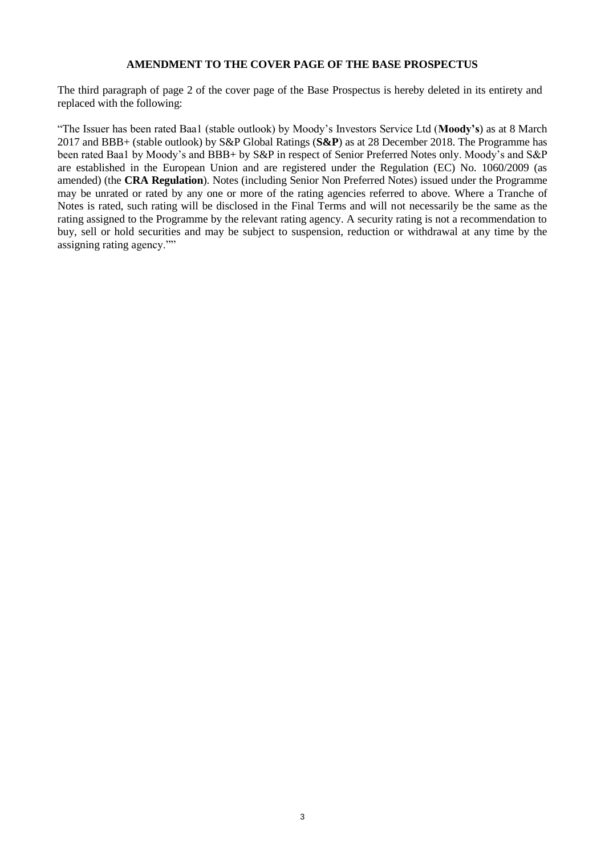#### **AMENDMENT TO THE COVER PAGE OF THE BASE PROSPECTUS**

The third paragraph of page 2 of the cover page of the Base Prospectus is hereby deleted in its entirety and replaced with the following:

"The Issuer has been rated Baa1 (stable outlook) by Moody's Investors Service Ltd (**Moody's**) as at 8 March 2017 and BBB+ (stable outlook) by S&P Global Ratings (**S&P**) as at 28 December 2018. The Programme has been rated Baa1 by Moody's and BBB+ by S&P in respect of Senior Preferred Notes only. Moody's and S&P are established in the European Union and are registered under the Regulation (EC) No. 1060/2009 (as amended) (the **CRA Regulation**). Notes (including Senior Non Preferred Notes) issued under the Programme may be unrated or rated by any one or more of the rating agencies referred to above. Where a Tranche of Notes is rated, such rating will be disclosed in the Final Terms and will not necessarily be the same as the rating assigned to the Programme by the relevant rating agency. A security rating is not a recommendation to buy, sell or hold securities and may be subject to suspension, reduction or withdrawal at any time by the assigning rating agency.""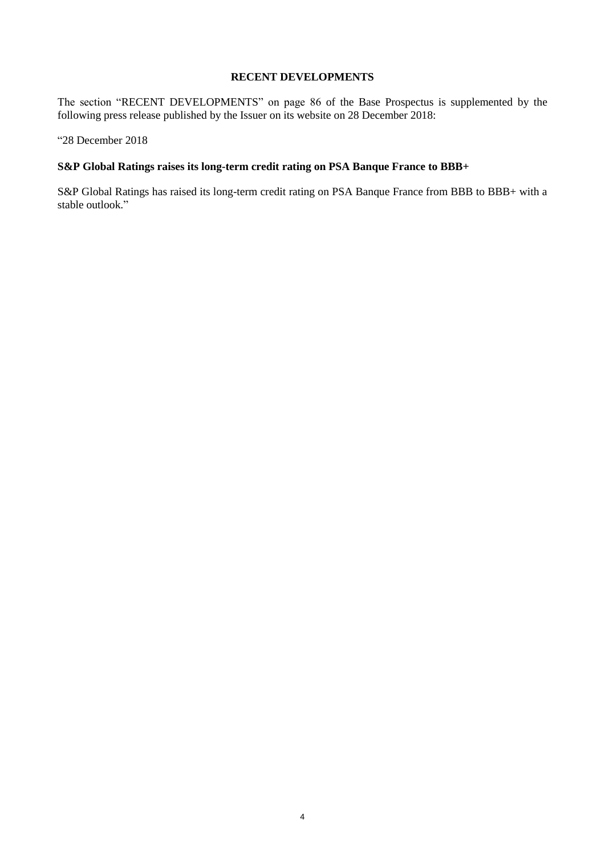#### **RECENT DEVELOPMENTS**

The section "RECENT DEVELOPMENTS" on page 86 of the Base Prospectus is supplemented by the following press release published by the Issuer on its website on 28 December 2018:

"28 December 2018

#### **S&P Global Ratings raises its long-term credit rating on PSA Banque France to BBB+**

S&P Global Ratings has raised its long-term credit rating on PSA Banque France from BBB to BBB+ with a stable outlook."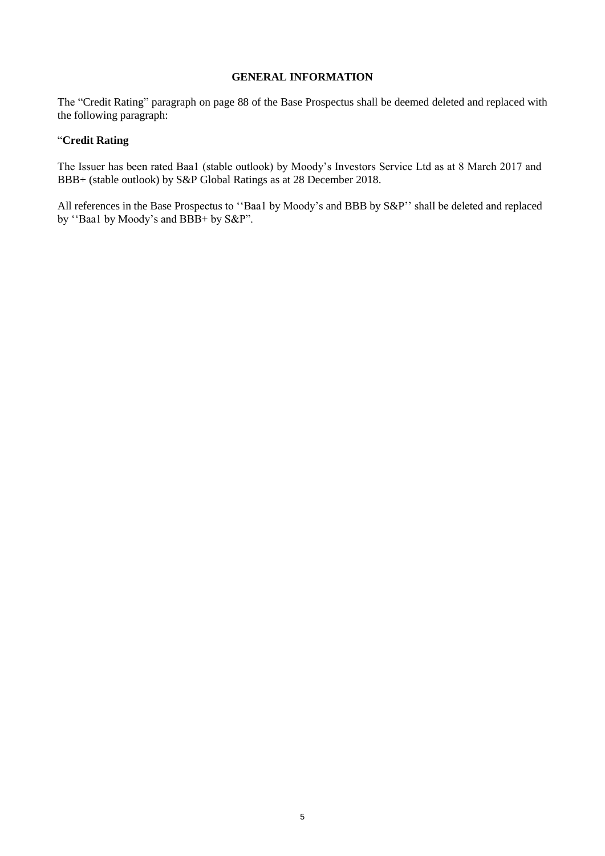#### **GENERAL INFORMATION**

The "Credit Rating" paragraph on page 88 of the Base Prospectus shall be deemed deleted and replaced with the following paragraph:

#### "**Credit Rating**

The Issuer has been rated Baa1 (stable outlook) by Moody's Investors Service Ltd as at 8 March 2017 and BBB+ (stable outlook) by S&P Global Ratings as at 28 December 2018.

All references in the Base Prospectus to ''Baa1 by Moody's and BBB by S&P'' shall be deleted and replaced by "Baa1 by Moody's and BBB+ by S&P".